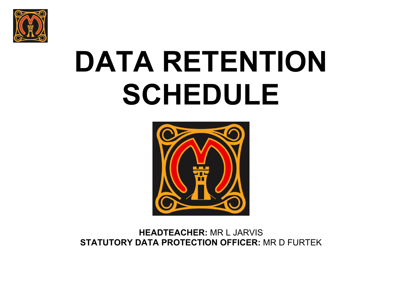

# **DATA RETENTION SCHEDULE**



**HEADTEACHER:** MR L JARVIS **STATUTORY DATA PROTECTION OFFICER:** MR D FURTEK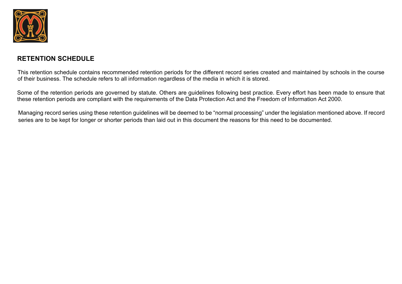

## **RETENTION SCHEDULE**

This retention schedule contains recommended retention periods for the different record series created and maintained by schools in the course of their business. The schedule refers to all information regardless of the media in which it is stored.

Some of the retention periods are governed by statute. Others are guidelines following best practice. Every effort has been made to ensure that these retention periods are compliant with the requirements of the Data Protection Act and the Freedom of Information Act 2000.

Managing record series using these retention guidelines will be deemed to be "normal processing" under the legislation mentioned above. If record series are to be kept for longer or shorter periods than laid out in this document the reasons for this need to be documented.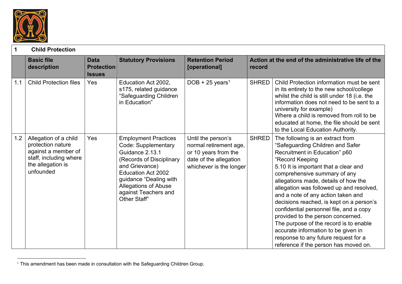

| 1   | <b>Child Protection</b>                                                                                                       |                                                   |                                                                                                                                                                                                                                                   |                                                                                                                           |              |                                                                                                                                                                                                                                                                                                                                                                                                                                                                                                                                                                                                                           |
|-----|-------------------------------------------------------------------------------------------------------------------------------|---------------------------------------------------|---------------------------------------------------------------------------------------------------------------------------------------------------------------------------------------------------------------------------------------------------|---------------------------------------------------------------------------------------------------------------------------|--------------|---------------------------------------------------------------------------------------------------------------------------------------------------------------------------------------------------------------------------------------------------------------------------------------------------------------------------------------------------------------------------------------------------------------------------------------------------------------------------------------------------------------------------------------------------------------------------------------------------------------------------|
|     | <b>Basic file</b><br>description                                                                                              | <b>Data</b><br><b>Protection</b><br><b>Issues</b> | <b>Statutory Provisions</b>                                                                                                                                                                                                                       | <b>Retention Period</b><br>[operational]                                                                                  | record       | Action at the end of the administrative life of the                                                                                                                                                                                                                                                                                                                                                                                                                                                                                                                                                                       |
| 1.1 | <b>Child Protection files</b>                                                                                                 | Yes                                               | Education Act 2002,<br>s175, related guidance<br>"Safeguarding Children<br>in Education"                                                                                                                                                          | DOB + 25 years <sup>1</sup>                                                                                               | <b>SHRED</b> | Child Protection information must be sent<br>in its entirety to the new school/college<br>whilst the child is still under 18 (i.e. the<br>information does not need to be sent to a<br>university for example)<br>Where a child is removed from roll to be<br>educated at home, the file should be sent<br>to the Local Education Authority.                                                                                                                                                                                                                                                                              |
| 1.2 | Allegation of a child<br>protection nature<br>against a member of<br>staff, including where<br>the allegation is<br>unfounded | Yes                                               | <b>Employment Practices</b><br>Code: Supplementary<br>Guidance 2.13.1<br>(Records of Disciplinary<br>and Grievance)<br><b>Education Act 2002</b><br>guidance "Dealing with<br><b>Allegations of Abuse</b><br>against Teachers and<br>Other Staff" | Until the person's<br>normal retirement age,<br>or 10 years from the<br>date of the allegation<br>whichever is the longer | <b>SHRED</b> | The following is an extract from<br>"Safeguarding Children and Safer<br>Recruitment in Education" p60<br>"Record Keeping<br>5.10 It is important that a clear and<br>comprehensive summary of any<br>allegations made, details of how the<br>allegation was followed up and resolved,<br>and a note of any action taken and<br>decisions reached, is kept on a person's<br>confidential personnel file, and a copy<br>provided to the person concerned.<br>The purpose of the record is to enable<br>accurate information to be given in<br>response to any future request for a<br>reference if the person has moved on. |

 $1$  This amendment has been made in consultation with the Safeguarding Children Group.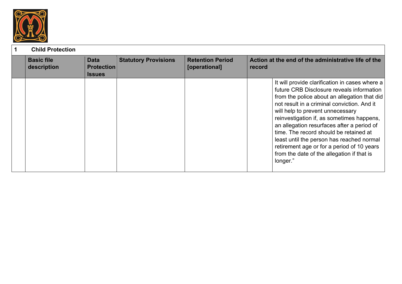

## **1 Child Protection**

| <b>Basic file</b><br>description | <b>Data</b><br><b>Protection</b><br><b>Issues</b> | <b>Statutory Provisions</b> | <b>Retention Period</b><br>[operational] | record | Action at the end of the administrative life of the                                                                                                                                                                                                                                                                                                                                                                                                                                                                      |
|----------------------------------|---------------------------------------------------|-----------------------------|------------------------------------------|--------|--------------------------------------------------------------------------------------------------------------------------------------------------------------------------------------------------------------------------------------------------------------------------------------------------------------------------------------------------------------------------------------------------------------------------------------------------------------------------------------------------------------------------|
|                                  |                                                   |                             |                                          |        | It will provide clarification in cases where a<br>future CRB Disclosure reveals information<br>from the police about an allegation that did<br>not result in a criminal conviction. And it<br>will help to prevent unnecessary<br>reinvestigation if, as sometimes happens,<br>an allegation resurfaces after a period of<br>time. The record should be retained at<br>least until the person has reached normal<br>retirement age or for a period of 10 years<br>from the date of the allegation if that is<br>longer." |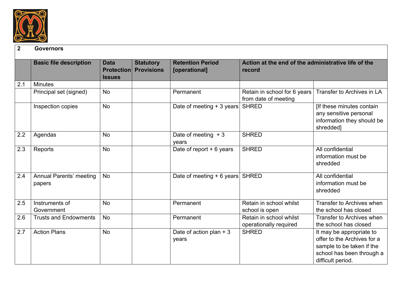

#### **2 Governors**

|     | <b>Basic file description</b>     | <b>Data</b><br><b>Issues</b> | <b>Statutory</b><br><b>Protection Provisions</b> | <b>Retention Period</b><br>[operational] | Action at the end of the administrative life of the<br>record |                                                                                                                                        |
|-----|-----------------------------------|------------------------------|--------------------------------------------------|------------------------------------------|---------------------------------------------------------------|----------------------------------------------------------------------------------------------------------------------------------------|
| 2.1 | <b>Minutes</b>                    |                              |                                                  |                                          |                                                               |                                                                                                                                        |
|     | Principal set (signed)            | <b>No</b>                    |                                                  | Permanent                                | Retain in school for 6 years<br>from date of meeting          | Transfer to Archives in LA                                                                                                             |
|     | Inspection copies                 | <b>No</b>                    |                                                  | Date of meeting $+3$ years               | <b>SHRED</b>                                                  | [If these minutes contain<br>any sensitive personal<br>information they should be<br>shredded]                                         |
| 2.2 | Agendas                           | <b>No</b>                    |                                                  | Date of meeting $+3$<br>years            | <b>SHRED</b>                                                  |                                                                                                                                        |
| 2.3 | Reports                           | <b>No</b>                    |                                                  | Date of report $+6$ years                | <b>SHRED</b>                                                  | All confidential<br>information must be<br>shredded                                                                                    |
| 2.4 | Annual Parents' meeting<br>papers | <b>No</b>                    |                                                  | Date of meeting + 6 years SHRED          |                                                               | All confidential<br>information must be<br>shredded                                                                                    |
| 2.5 | Instruments of<br>Government      | <b>No</b>                    |                                                  | Permanent                                | Retain in school whilst<br>school is open                     | Transfer to Archives when<br>the school has closed                                                                                     |
| 2.6 | <b>Trusts and Endowments</b>      | <b>No</b>                    |                                                  | Permanent                                | Retain in school whilst<br>operationally required             | Transfer to Archives when<br>the school has closed                                                                                     |
| 2.7 | <b>Action Plans</b>               | <b>No</b>                    |                                                  | Date of action plan $+3$<br>years        | <b>SHRED</b>                                                  | It may be appropriate to<br>offer to the Archives for a<br>sample to be taken if the<br>school has been through a<br>difficult period. |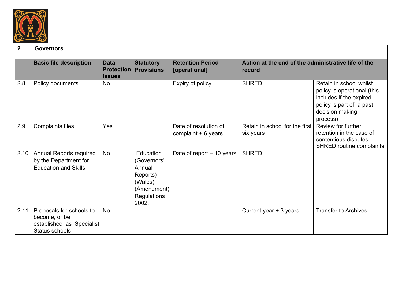

#### **2 Governors**

|      | <b>Basic file description</b>  | <b>Data</b><br><b>Protection</b> | <b>Statutory</b><br><b>Provisions</b> | <b>Retention Period</b><br>[operational] | Action at the end of the administrative life of the<br>record |                                 |
|------|--------------------------------|----------------------------------|---------------------------------------|------------------------------------------|---------------------------------------------------------------|---------------------------------|
| 2.8  | Policy documents               | <b>Issues</b><br><b>No</b>       |                                       | Expiry of policy                         | <b>SHRED</b>                                                  | Retain in school whilst         |
|      |                                |                                  |                                       |                                          |                                                               | policy is operational (this     |
|      |                                |                                  |                                       |                                          |                                                               | includes if the expired         |
|      |                                |                                  |                                       |                                          |                                                               | policy is part of a past        |
|      |                                |                                  |                                       |                                          |                                                               | decision making                 |
|      |                                |                                  |                                       |                                          |                                                               | process)                        |
| 2.9  | <b>Complaints files</b>        | Yes                              |                                       | Date of resolution of                    | Retain in school for the first                                | Review for further              |
|      |                                |                                  |                                       | complaint $+6$ years                     | six years                                                     | retention in the case of        |
|      |                                |                                  |                                       |                                          |                                                               | contentious disputes            |
|      |                                |                                  |                                       |                                          |                                                               | <b>SHRED routine complaints</b> |
| 2.10 | <b>Annual Reports required</b> | <b>No</b>                        | Education                             | Date of report + 10 years                | <b>SHRED</b>                                                  |                                 |
|      | by the Department for          |                                  | (Governors'                           |                                          |                                                               |                                 |
|      | <b>Education and Skills</b>    |                                  | Annual                                |                                          |                                                               |                                 |
|      |                                |                                  | Reports)                              |                                          |                                                               |                                 |
|      |                                |                                  | (Wales)                               |                                          |                                                               |                                 |
|      |                                |                                  | (Amendment)                           |                                          |                                                               |                                 |
|      |                                |                                  | <b>Regulations</b>                    |                                          |                                                               |                                 |
|      |                                |                                  | 2002.                                 |                                          |                                                               |                                 |
| 2.11 | Proposals for schools to       | <b>No</b>                        |                                       |                                          | Current year + 3 years                                        | <b>Transfer to Archives</b>     |
|      | become, or be                  |                                  |                                       |                                          |                                                               |                                 |
|      | established as Specialist      |                                  |                                       |                                          |                                                               |                                 |
|      | Status schools                 |                                  |                                       |                                          |                                                               |                                 |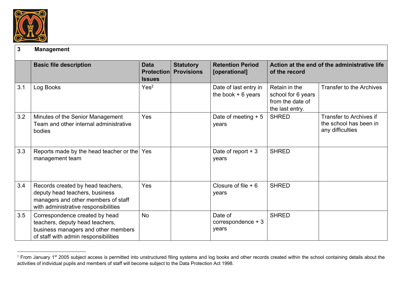

#### **3 Management**

|     | <b>Basic file description</b>                                                                                                                      | <b>Data</b><br><b>Protection</b><br><b>Issues</b> | <b>Statutory</b><br><b>Provisions</b> | <b>Retention Period</b><br>[operational]     | Action at the end of the administrative life<br>of the record              |                                                                       |
|-----|----------------------------------------------------------------------------------------------------------------------------------------------------|---------------------------------------------------|---------------------------------------|----------------------------------------------|----------------------------------------------------------------------------|-----------------------------------------------------------------------|
| 3.1 | Log Books                                                                                                                                          | Yes <sup>2</sup>                                  |                                       | Date of last entry in<br>the book $+6$ years | Retain in the<br>school for 6 years<br>from the date of<br>the last entry. | <b>Transfer to the Archives</b>                                       |
| 3.2 | Minutes of the Senior Management<br>Team and other internal administrative<br>bodies                                                               | Yes                                               |                                       | Date of meeting $+5$<br>years                | <b>SHRED</b>                                                               | Transfer to Archives if<br>the school has been in<br>any difficulties |
| 3.3 | Reports made by the head teacher or the Yes<br>management team                                                                                     |                                                   |                                       | Date of report $+3$<br>years                 | <b>SHRED</b>                                                               |                                                                       |
| 3.4 | Records created by head teachers,<br>deputy head teachers, business<br>managers and other members of staff<br>with administrative responsibilities | Yes                                               |                                       | Closure of file $+6$<br>years                | <b>SHRED</b>                                                               |                                                                       |
| 3.5 | Correspondence created by head<br>teachers, deputy head teachers,<br>business managers and other members<br>of staff with admin responsibilities   | <b>No</b>                                         |                                       | Date of<br>correspondence + 3<br>years       | <b>SHRED</b>                                                               |                                                                       |

<sup>&</sup>lt;sup>2</sup> From January 1<sup>st</sup> 2005 subject access is permitted into unstructured filing systems and log books and other records created within the school containing details about the activities of individual pupils and members of staff will become subject to the Data Protection Act 1998.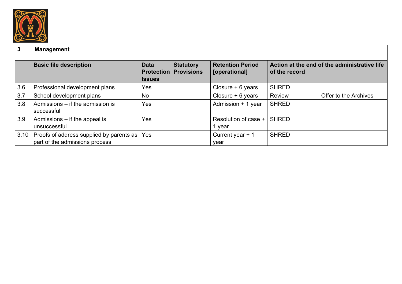

## **3 Management**

|      | <b>Basic file description</b>                                                  | <b>Data</b><br><b>Protection</b><br><b>Issues</b> | <b>Statutory</b><br><b>Provisions</b> | <b>Retention Period</b><br>[operational] | of the record | Action at the end of the administrative life |
|------|--------------------------------------------------------------------------------|---------------------------------------------------|---------------------------------------|------------------------------------------|---------------|----------------------------------------------|
| 3.6  | Professional development plans                                                 | Yes                                               |                                       | Closure $+6$ years                       | <b>SHRED</b>  |                                              |
| 3.7  | School development plans                                                       | No                                                |                                       | Closure $+6$ years                       | Review        | Offer to the Archives                        |
| 3.8  | Admissions - if the admission is<br>successful                                 | Yes                                               |                                       | Admission + 1 year                       | <b>SHRED</b>  |                                              |
| 3.9  | Admissions $-$ if the appeal is<br>unsuccessful                                | Yes                                               |                                       | Resolution of case +<br>1 year           | <b>SHRED</b>  |                                              |
| 3.10 | Proofs of address supplied by parents as Yes<br>part of the admissions process |                                                   |                                       | Current year $+1$<br>year                | <b>SHRED</b>  |                                              |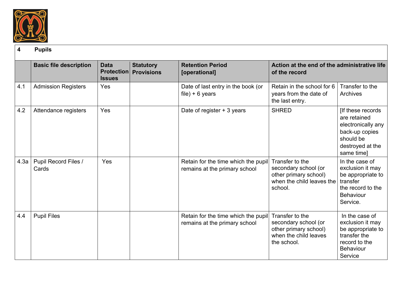

|      | <b>Basic file description</b> | <b>Data</b><br><b>Protection</b><br><b>Issues</b> | <b>Statutory</b><br><b>Provisions</b> | <b>Retention Period</b><br>[operational]                             | Action at the end of the administrative life<br>of the record                                            |                                                                                                                          |
|------|-------------------------------|---------------------------------------------------|---------------------------------------|----------------------------------------------------------------------|----------------------------------------------------------------------------------------------------------|--------------------------------------------------------------------------------------------------------------------------|
| 4.1  | <b>Admission Registers</b>    | Yes                                               |                                       | Date of last entry in the book (or<br>$file$ ) + 6 years             | Retain in the school for 6<br>years from the date of<br>the last entry.                                  | Transfer to the<br>Archives                                                                                              |
| 4.2  | Attendance registers          | Yes                                               |                                       | Date of register + 3 years                                           | <b>SHRED</b>                                                                                             | [If these records<br>are retained<br>electronically any<br>back-up copies<br>should be<br>destroyed at the<br>same time] |
| 4.3a | Pupil Record Files /<br>Cards | Yes                                               |                                       | Retain for the time which the pupil<br>remains at the primary school | Transfer to the<br>secondary school (or<br>other primary school)<br>when the child leaves the<br>school. | In the case of<br>exclusion it may<br>be appropriate to<br>transfer<br>the record to the<br><b>Behaviour</b><br>Service. |
| 4.4  | <b>Pupil Files</b>            |                                                   |                                       | Retain for the time which the pupil<br>remains at the primary school | Transfer to the<br>secondary school (or<br>other primary school)<br>when the child leaves<br>the school. | In the case of<br>exclusion it may<br>be appropriate to<br>transfer the<br>record to the<br><b>Behaviour</b><br>Service  |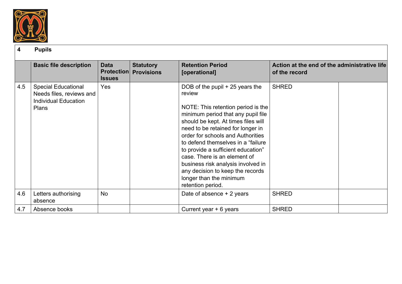

|     | <b>Basic file description</b>                                                                  | <b>Data</b><br><b>Issues</b> | <b>Statutory</b><br><b>Protection Provisions</b> | <b>Retention Period</b><br>[operational]                                                                                                                                                                                                                                                                                                                                                                                                                                       | Action at the end of the administrative life<br>of the record |
|-----|------------------------------------------------------------------------------------------------|------------------------------|--------------------------------------------------|--------------------------------------------------------------------------------------------------------------------------------------------------------------------------------------------------------------------------------------------------------------------------------------------------------------------------------------------------------------------------------------------------------------------------------------------------------------------------------|---------------------------------------------------------------|
| 4.5 | <b>Special Educational</b><br>Needs files, reviews and<br><b>Individual Education</b><br>Plans | Yes                          |                                                  | DOB of the pupil $+25$ years the<br>review<br>NOTE: This retention period is the<br>minimum period that any pupil file<br>should be kept. At times files will<br>need to be retained for longer in<br>order for schools and Authorities<br>to defend themselves in a "failure"<br>to provide a sufficient education"<br>case. There is an element of<br>business risk analysis involved in<br>any decision to keep the records<br>longer than the minimum<br>retention period. | <b>SHRED</b>                                                  |
| 4.6 | Letters authorising<br>absence                                                                 | <b>No</b>                    |                                                  | Date of absence + 2 years                                                                                                                                                                                                                                                                                                                                                                                                                                                      | <b>SHRED</b>                                                  |
| 4.7 | Absence books                                                                                  |                              |                                                  | Current year $+6$ years                                                                                                                                                                                                                                                                                                                                                                                                                                                        | <b>SHRED</b>                                                  |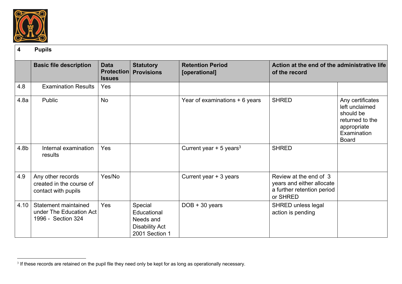

|      | <b>Basic file description</b>                                         | <b>Data</b><br><b>Protection</b><br><b>Issues</b> | <b>Statutory</b><br><b>Provisions</b>                                          | <b>Retention Period</b><br>[operational] | Action at the end of the administrative life<br>of the record                                 |                                                                                                                  |
|------|-----------------------------------------------------------------------|---------------------------------------------------|--------------------------------------------------------------------------------|------------------------------------------|-----------------------------------------------------------------------------------------------|------------------------------------------------------------------------------------------------------------------|
| 4.8  | <b>Examination Results</b>                                            | Yes                                               |                                                                                |                                          |                                                                                               |                                                                                                                  |
| 4.8a | Public                                                                | <b>No</b>                                         |                                                                                | Year of examinations + 6 years           | <b>SHRED</b>                                                                                  | Any certificates<br>left unclaimed<br>should be<br>returned to the<br>appropriate<br>Examination<br><b>Board</b> |
| 4.8b | Internal examination<br>results                                       | Yes                                               |                                                                                | Current year + 5 years <sup>3</sup>      | <b>SHRED</b>                                                                                  |                                                                                                                  |
| 4.9  | Any other records<br>created in the course of<br>contact with pupils  | Yes/No                                            |                                                                                | Current year + 3 years                   | Review at the end of 3<br>years and either allocate<br>a further retention period<br>or SHRED |                                                                                                                  |
| 4.10 | Statement maintained<br>under The Education Act<br>1996 - Section 324 | Yes                                               | Special<br>Educational<br>Needs and<br><b>Disability Act</b><br>2001 Section 1 | $DOB + 30 years$                         | <b>SHRED unless legal</b><br>action is pending                                                |                                                                                                                  |

<sup>&</sup>lt;sup>3</sup> If these records are retained on the pupil file they need only be kept for as long as operationally necessary.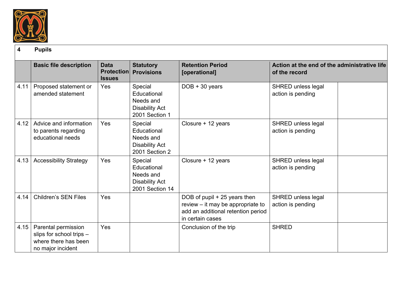

|      | <b>Basic file description</b>                                                                | <b>Data</b><br><b>Protection</b><br><b>Issues</b> | <b>Statutory</b><br><b>Provisions</b>                                           | <b>Retention Period</b><br>[operational]                                                                                    | Action at the end of the administrative life<br>of the record |
|------|----------------------------------------------------------------------------------------------|---------------------------------------------------|---------------------------------------------------------------------------------|-----------------------------------------------------------------------------------------------------------------------------|---------------------------------------------------------------|
| 4.11 | Proposed statement or<br>amended statement                                                   | Yes                                               | Special<br>Educational<br>Needs and<br><b>Disability Act</b><br>2001 Section 1  | $DOB + 30 years$                                                                                                            | SHRED unless legal<br>action is pending                       |
| 4.12 | Advice and information<br>to parents regarding<br>educational needs                          | <b>Yes</b>                                        | Special<br>Educational<br>Needs and<br><b>Disability Act</b><br>2001 Section 2  | Closure + 12 years                                                                                                          | SHRED unless legal<br>action is pending                       |
| 4.13 | <b>Accessibility Strategy</b>                                                                | Yes                                               | Special<br>Educational<br>Needs and<br><b>Disability Act</b><br>2001 Section 14 | Closure + 12 years                                                                                                          | SHRED unless legal<br>action is pending                       |
| 4.14 | <b>Children's SEN Files</b>                                                                  | <b>Yes</b>                                        |                                                                                 | DOB of pupil + 25 years then<br>review - it may be appropriate to<br>add an additional retention period<br>in certain cases | SHRED unless legal<br>action is pending                       |
| 4.15 | Parental permission<br>slips for school trips -<br>where there has been<br>no major incident | Yes                                               |                                                                                 | Conclusion of the trip                                                                                                      | <b>SHRED</b>                                                  |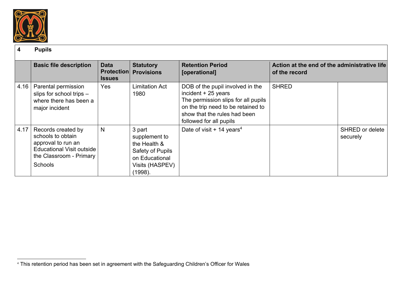

|      | <b>Basic file description</b>                                                                                                                  | <b>Data</b><br><b>Issues</b> | <b>Statutory</b><br><b>Protection Provisions</b>                                                            | <b>Retention Period</b><br>[operational]                                                                                                                                                         | Action at the end of the administrative life<br>of the record |                                    |
|------|------------------------------------------------------------------------------------------------------------------------------------------------|------------------------------|-------------------------------------------------------------------------------------------------------------|--------------------------------------------------------------------------------------------------------------------------------------------------------------------------------------------------|---------------------------------------------------------------|------------------------------------|
| 4.16 | Parental permission<br>slips for school trips -<br>where there has been a<br>major incident                                                    | Yes                          | <b>Limitation Act</b><br>1980                                                                               | DOB of the pupil involved in the<br>incident $+25$ years<br>The permission slips for all pupils<br>on the trip need to be retained to<br>show that the rules had been<br>followed for all pupils | <b>SHRED</b>                                                  |                                    |
| 4.17 | Records created by<br>schools to obtain<br>approval to run an<br><b>Educational Visit outside</b><br>the Classroom - Primary<br><b>Schools</b> | N                            | 3 part<br>supplement to<br>the Health &<br>Safety of Pupils<br>on Educational<br>Visits (HASPEV)<br>(1998). | Date of visit $+$ 14 years <sup>4</sup>                                                                                                                                                          |                                                               | <b>SHRED or delete</b><br>securely |

 <sup>4</sup> This retention period has been set in agreement with the Safeguarding Children's Officer for Wales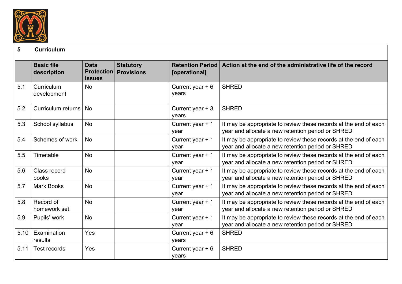

#### **5 Curriculum**

|      | <b>Basic file</b><br>description | <b>Data</b><br><b>Protection</b><br><b>Issues</b> | <b>Statutory</b><br><b>Provisions</b> | <b>Retention Period</b><br>[operational] | Action at the end of the administrative life of the record                                                            |
|------|----------------------------------|---------------------------------------------------|---------------------------------------|------------------------------------------|-----------------------------------------------------------------------------------------------------------------------|
| 5.1  | Curriculum<br>development        | <b>No</b>                                         |                                       | Current year $+6$<br>years               | <b>SHRED</b>                                                                                                          |
| 5.2  | Curriculum returns               | <b>No</b>                                         |                                       | Current year $+3$<br>years               | <b>SHRED</b>                                                                                                          |
| 5.3  | School syllabus                  | <b>No</b>                                         |                                       | Current year + 1<br>vear                 | It may be appropriate to review these records at the end of each<br>year and allocate a new retention period or SHRED |
| 5.4  | Schemes of work                  | <b>No</b>                                         |                                       | Current year + 1<br>year                 | It may be appropriate to review these records at the end of each<br>year and allocate a new retention period or SHRED |
| 5.5  | Timetable                        | <b>No</b>                                         |                                       | Current year + 1<br>year                 | It may be appropriate to review these records at the end of each<br>year and allocate a new retention period or SHRED |
| 5.6  | Class record<br>books            | <b>No</b>                                         |                                       | Current year + 1<br>year                 | It may be appropriate to review these records at the end of each<br>year and allocate a new retention period or SHRED |
| 5.7  | <b>Mark Books</b>                | <b>No</b>                                         |                                       | Current year + 1<br>year                 | It may be appropriate to review these records at the end of each<br>year and allocate a new retention period or SHRED |
| 5.8  | Record of<br>homework set        | <b>No</b>                                         |                                       | Current year + 1<br>year                 | It may be appropriate to review these records at the end of each<br>year and allocate a new retention period or SHRED |
| 5.9  | Pupils' work                     | <b>No</b>                                         |                                       | Current year + 1<br>year                 | It may be appropriate to review these records at the end of each<br>year and allocate a new retention period or SHRED |
| 5.10 | Examination<br>results           | Yes                                               |                                       | Current year $+6$<br>years               | <b>SHRED</b>                                                                                                          |
| 5.11 | Test records                     | Yes                                               |                                       | Current year $+6$<br>years               | <b>SHRED</b>                                                                                                          |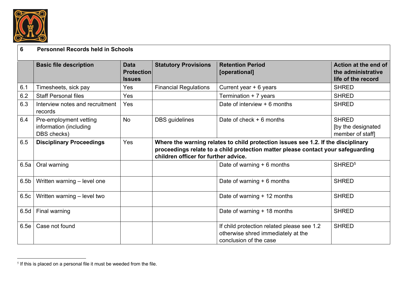

## **6 Personnel Records held in Schools**

|                  | <b>Basic file description</b>                                   | <b>Data</b><br><b>Protection</b><br><b>Issues</b> | <b>Statutory Provisions</b>                                                                                                                                                                                   | <b>Retention Period</b><br>[operational]                                                                   | Action at the end of<br>the administrative<br>life of the record |  |  |
|------------------|-----------------------------------------------------------------|---------------------------------------------------|---------------------------------------------------------------------------------------------------------------------------------------------------------------------------------------------------------------|------------------------------------------------------------------------------------------------------------|------------------------------------------------------------------|--|--|
| 6.1              | Timesheets, sick pay                                            | Yes                                               | <b>Financial Regulations</b>                                                                                                                                                                                  | Current year + 6 years                                                                                     | <b>SHRED</b>                                                     |  |  |
| 6.2              | <b>Staff Personal files</b>                                     | Yes                                               |                                                                                                                                                                                                               | Termination + 7 years                                                                                      | <b>SHRED</b>                                                     |  |  |
| 6.3              | Interview notes and recruitment<br>records                      | Yes                                               |                                                                                                                                                                                                               | Date of interview $+6$ months                                                                              | <b>SHRED</b>                                                     |  |  |
| 6.4              | Pre-employment vetting<br>information (including<br>DBS checks) | <b>No</b>                                         | <b>DBS</b> guidelines                                                                                                                                                                                         | Date of check $+6$ months                                                                                  | <b>SHRED</b><br>[by the designated]<br>member of staff           |  |  |
| 6.5              | <b>Disciplinary Proceedings</b>                                 | Yes                                               | Where the warning relates to child protection issues see 1.2. If the disciplinary<br>proceedings relate to a child protection matter please contact your safeguarding<br>children officer for further advice. |                                                                                                            |                                                                  |  |  |
| 6.5a             | Oral warning                                                    |                                                   |                                                                                                                                                                                                               | Date of warning $+6$ months                                                                                | SHRED <sup>5</sup>                                               |  |  |
| 6.5 <sub>b</sub> | Written warning - level one                                     |                                                   |                                                                                                                                                                                                               | Date of warning $+ 6$ months                                                                               | <b>SHRED</b>                                                     |  |  |
| 6.5c             | Written warning - level two                                     |                                                   |                                                                                                                                                                                                               | Date of warning + 12 months                                                                                | <b>SHRED</b>                                                     |  |  |
| 6.5d             | Final warning                                                   |                                                   |                                                                                                                                                                                                               | Date of warning + 18 months                                                                                | <b>SHRED</b>                                                     |  |  |
| 6.5e             | Case not found                                                  |                                                   |                                                                                                                                                                                                               | If child protection related please see 1.2<br>otherwise shred immediately at the<br>conclusion of the case | <b>SHRED</b>                                                     |  |  |

 $5$  If this is placed on a personal file it must be weeded from the file.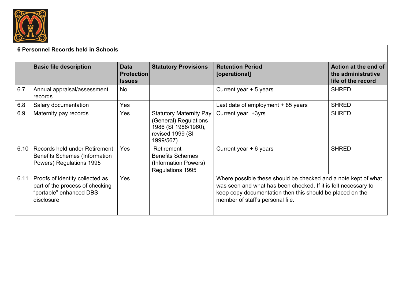

## **6 Personnel Records held in Schools**

|      | <b>Basic file description</b>                                                                               | <b>Data</b><br><b>Protection</b><br><b>Issues</b> | <b>Statutory Provisions</b>                                                                               | <b>Retention Period</b><br>[operational]                                                                                                                                                                                          | Action at the end of<br>the administrative<br>life of the record |
|------|-------------------------------------------------------------------------------------------------------------|---------------------------------------------------|-----------------------------------------------------------------------------------------------------------|-----------------------------------------------------------------------------------------------------------------------------------------------------------------------------------------------------------------------------------|------------------------------------------------------------------|
| 6.7  | Annual appraisal/assessment<br>records                                                                      | <b>No</b>                                         |                                                                                                           | Current year + 5 years                                                                                                                                                                                                            | <b>SHRED</b>                                                     |
| 6.8  | Salary documentation                                                                                        | Yes                                               |                                                                                                           | Last date of employment + 85 years                                                                                                                                                                                                | <b>SHRED</b>                                                     |
| 6.9  | Maternity pay records                                                                                       | Yes                                               | Statutory Maternity Pay<br>(General) Regulations<br>1986 (SI 1986/1960),<br>revised 1999 (SI<br>1999/567) | Current year, +3yrs                                                                                                                                                                                                               | <b>SHRED</b>                                                     |
| 6.10 | Records held under Retirement<br><b>Benefits Schemes (Information</b><br>Powers) Regulations 1995           | Yes                                               | Retirement<br><b>Benefits Schemes</b><br>(Information Powers)<br>Regulations 1995                         | Current year + 6 years                                                                                                                                                                                                            | <b>SHRED</b>                                                     |
| 6.11 | Proofs of identity collected as<br>part of the process of checking<br>"portable" enhanced DBS<br>disclosure | Yes                                               |                                                                                                           | Where possible these should be checked and a note kept of what<br>was seen and what has been checked. If it is felt necessary to<br>keep copy documentation then this should be placed on the<br>member of staff's personal file. |                                                                  |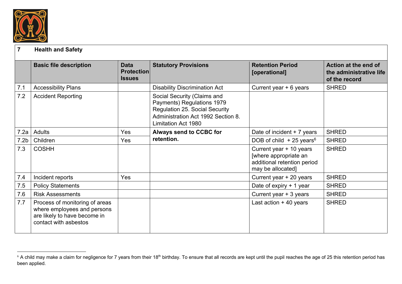

## **7 Health and Safety**

|                  | <b>Basic file description</b>                                                                                          | <b>Data</b><br><b>Protection</b><br><b>Issues</b> | <b>Statutory Provisions</b>                                                                                                                                            | <b>Retention Period</b><br>[operational]                                                             | Action at the end of<br>the administrative life<br>of the record |
|------------------|------------------------------------------------------------------------------------------------------------------------|---------------------------------------------------|------------------------------------------------------------------------------------------------------------------------------------------------------------------------|------------------------------------------------------------------------------------------------------|------------------------------------------------------------------|
| 7.1              | <b>Accessibility Plans</b>                                                                                             |                                                   | <b>Disability Discrimination Act</b>                                                                                                                                   | Current year $+ 6$ years                                                                             | <b>SHRED</b>                                                     |
| 7.2              | <b>Accident Reporting</b>                                                                                              |                                                   | Social Security (Claims and<br>Payments) Regulations 1979<br><b>Regulation 25. Social Security</b><br>Administration Act 1992 Section 8.<br><b>Limitation Act 1980</b> |                                                                                                      |                                                                  |
| 7.2a             | Adults                                                                                                                 | Yes                                               | <b>Always send to CCBC for</b>                                                                                                                                         | Date of incident $+7$ years                                                                          | <b>SHRED</b>                                                     |
| 7.2 <sub>b</sub> | Children                                                                                                               | <b>Yes</b>                                        | retention.                                                                                                                                                             | DOB of child $+25$ years <sup>6</sup>                                                                | <b>SHRED</b>                                                     |
| 7.3              | <b>COSHH</b>                                                                                                           |                                                   |                                                                                                                                                                        | Current year + 10 years<br>[where appropriate an<br>additional retention period<br>may be allocated] | <b>SHRED</b>                                                     |
| 7.4              | Incident reports                                                                                                       | <b>Yes</b>                                        |                                                                                                                                                                        | Current year + 20 years                                                                              | <b>SHRED</b>                                                     |
| 7.5              | <b>Policy Statements</b>                                                                                               |                                                   |                                                                                                                                                                        | Date of expiry + 1 year                                                                              | <b>SHRED</b>                                                     |
| 7.6              | <b>Risk Assessments</b>                                                                                                |                                                   |                                                                                                                                                                        | Current year + 3 years                                                                               | <b>SHRED</b>                                                     |
| 7.7              | Process of monitoring of areas<br>where employees and persons<br>are likely to have become in<br>contact with asbestos |                                                   |                                                                                                                                                                        | Last action $+40$ years                                                                              | <b>SHRED</b>                                                     |

<sup>&</sup>lt;sup>6</sup> A child may make a claim for negligence for 7 years from their 18<sup>th</sup> birthday. To ensure that all records are kept until the pupil reaches the age of 25 this retention period has been applied.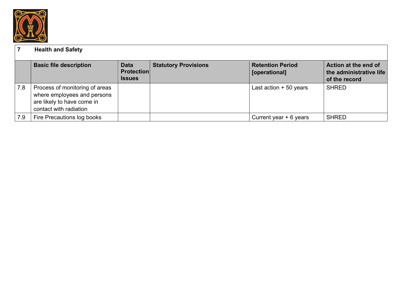

## **7 Health and Safety**

|     | <b>Basic file description</b>                                                                                         | <b>Data</b><br><b>Protection</b><br><b>Issues</b> | <b>Statutory Provisions</b> | <b>Retention Period</b><br>[operational] | Action at the end of<br>the administrative life<br>of the record |
|-----|-----------------------------------------------------------------------------------------------------------------------|---------------------------------------------------|-----------------------------|------------------------------------------|------------------------------------------------------------------|
| 7.8 | Process of monitoring of areas<br>where employees and persons<br>are likely to have come in<br>contact with radiation |                                                   |                             | Last action $+50$ years                  | <b>SHRED</b>                                                     |
| 7.9 | Fire Precautions log books                                                                                            |                                                   |                             | Current year $+ 6$ years                 | <b>SHRED</b>                                                     |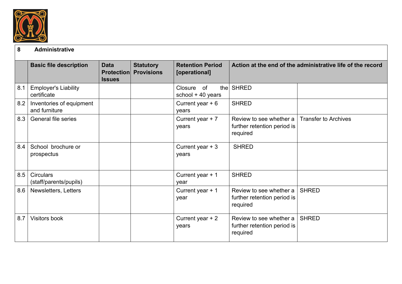

## **8 Administrative**

|     | <b>Basic file description</b>              | <b>Data</b><br><b>Protection</b><br><b>Issues</b> | <b>Statutory</b><br><b>Provisions</b> | <b>Retention Period</b><br>[operational] |                                                                    | Action at the end of the administrative life of the record |
|-----|--------------------------------------------|---------------------------------------------------|---------------------------------------|------------------------------------------|--------------------------------------------------------------------|------------------------------------------------------------|
| 8.1 | <b>Employer's Liability</b><br>certificate |                                                   |                                       | Closure of<br>thel<br>school + 40 years  | <b>SHRED</b>                                                       |                                                            |
| 8.2 | Inventories of equipment<br>and furniture  |                                                   |                                       | Current year $+6$<br>years               | <b>SHRED</b>                                                       |                                                            |
| 8.3 | <b>General file series</b>                 |                                                   |                                       | Current year $+7$<br>years               | Review to see whether a<br>further retention period is<br>required | <b>Transfer to Archives</b>                                |
| 8.4 | School brochure or<br>prospectus           |                                                   |                                       | Current year $+3$<br>years               | <b>SHRED</b>                                                       |                                                            |
| 8.5 | <b>Circulars</b><br>(staff/parents/pupils) |                                                   |                                       | Current year + 1<br>year                 | <b>SHRED</b>                                                       |                                                            |
| 8.6 | Newsletters, Letters                       |                                                   |                                       | Current year + 1<br>year                 | Review to see whether a<br>further retention period is<br>required | <b>SHRED</b>                                               |
| 8.7 | Visitors book                              |                                                   |                                       | Current year $+2$<br>years               | Review to see whether a<br>further retention period is<br>required | <b>SHRED</b>                                               |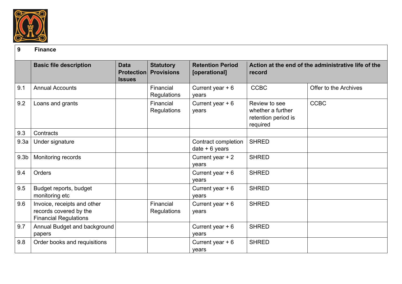

#### **9 Finance**

|                  | <b>Basic file description</b>                                                         | <b>Data</b><br><b>Protection</b><br><b>Issues</b> | <b>Statutory</b><br><b>Provisions</b> | <b>Retention Period</b><br>[operational] | record                                                                | Action at the end of the administrative life of the |
|------------------|---------------------------------------------------------------------------------------|---------------------------------------------------|---------------------------------------|------------------------------------------|-----------------------------------------------------------------------|-----------------------------------------------------|
| 9.1              | <b>Annual Accounts</b>                                                                |                                                   | Financial<br>Regulations              | Current year $+6$<br>years               | <b>CCBC</b>                                                           | Offer to the Archives                               |
| 9.2              | Loans and grants                                                                      |                                                   | Financial<br>Regulations              | Current year $+6$<br>years               | Review to see<br>whether a further<br>retention period is<br>required | <b>CCBC</b>                                         |
| 9.3              | Contracts                                                                             |                                                   |                                       |                                          |                                                                       |                                                     |
| 9.3a             | Under signature                                                                       |                                                   |                                       | Contract completion<br>date $+6$ years   | <b>SHRED</b>                                                          |                                                     |
| 9.3 <sub>b</sub> | Monitoring records                                                                    |                                                   |                                       | Current year + 2<br>years                | <b>SHRED</b>                                                          |                                                     |
| 9.4              | Orders                                                                                |                                                   |                                       | Current year $+6$<br>years               | <b>SHRED</b>                                                          |                                                     |
| 9.5              | Budget reports, budget<br>monitoring etc                                              |                                                   |                                       | Current year $+6$<br>years               | <b>SHRED</b>                                                          |                                                     |
| 9.6              | Invoice, receipts and other<br>records covered by the<br><b>Financial Regulations</b> |                                                   | Financial<br><b>Regulations</b>       | Current year $+6$<br>years               | <b>SHRED</b>                                                          |                                                     |
| 9.7              | Annual Budget and background<br>papers                                                |                                                   |                                       | Current year $+6$<br>years               | <b>SHRED</b>                                                          |                                                     |
| 9.8              | Order books and requisitions                                                          |                                                   |                                       | Current year $+6$<br>years               | <b>SHRED</b>                                                          |                                                     |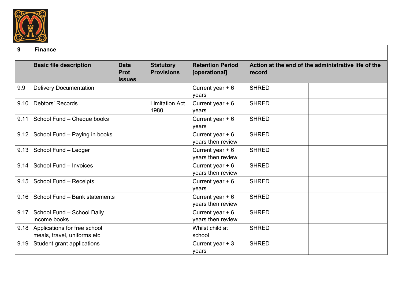

#### **9 Finance**

|      | <b>Basic file description</b>                               | <b>Data</b><br><b>Prot</b><br><b>Issues</b> | <b>Statutory</b><br><b>Provisions</b> | <b>Retention Period</b><br>[operational] | record       | Action at the end of the administrative life of the |
|------|-------------------------------------------------------------|---------------------------------------------|---------------------------------------|------------------------------------------|--------------|-----------------------------------------------------|
| 9.9  | <b>Delivery Documentation</b>                               |                                             |                                       | Current year $+6$<br>years               | <b>SHRED</b> |                                                     |
| 9.10 | Debtors' Records                                            |                                             | <b>Limitation Act</b><br>1980         | Current year $+6$<br>years               | <b>SHRED</b> |                                                     |
| 9.11 | School Fund - Cheque books                                  |                                             |                                       | Current year $+6$<br>years               | <b>SHRED</b> |                                                     |
| 9.12 | School Fund - Paying in books                               |                                             |                                       | Current year $+6$<br>years then review   | <b>SHRED</b> |                                                     |
| 9.13 | School Fund - Ledger                                        |                                             |                                       | Current year $+6$<br>years then review   | <b>SHRED</b> |                                                     |
| 9.14 | School Fund - Invoices                                      |                                             |                                       | Current year $+6$<br>years then review   | <b>SHRED</b> |                                                     |
| 9.15 | School Fund - Receipts                                      |                                             |                                       | Current year $+6$<br>years               | <b>SHRED</b> |                                                     |
| 9.16 | School Fund - Bank statements                               |                                             |                                       | Current year $+6$<br>years then review   | <b>SHRED</b> |                                                     |
| 9.17 | School Fund - School Daily<br>income books                  |                                             |                                       | Current year $+6$<br>years then review   | <b>SHRED</b> |                                                     |
| 9.18 | Applications for free school<br>meals, travel, uniforms etc |                                             |                                       | Whilst child at<br>school                | <b>SHRED</b> |                                                     |
| 9.19 | Student grant applications                                  |                                             |                                       | Current year $+3$<br>years               | <b>SHRED</b> |                                                     |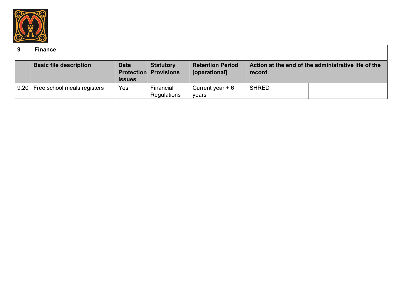

#### **9 Finance**

|      | <b>Basic file description</b> | <b>Data</b><br><b>Issues</b> | <b>Statutory</b><br><b>Protection Provisions</b> | <b>Retention Period</b><br>[operational] | record       | Action at the end of the administrative life of the |
|------|-------------------------------|------------------------------|--------------------------------------------------|------------------------------------------|--------------|-----------------------------------------------------|
| 9.20 | Free school meals registers   | Yes                          | Financial<br>Regulations                         | Current year $+6$<br>years               | <b>SHRED</b> |                                                     |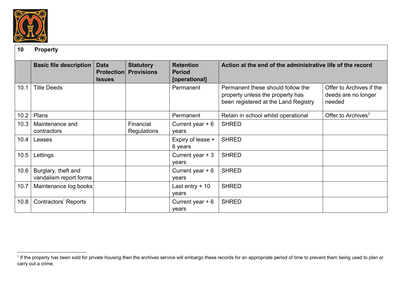

## **10 Property**

|      | <b>Basic file description</b>                 | <b>Data</b><br><b>Protection</b><br><b>Issues</b> | <b>Statutory</b><br><b>Provisions</b> | <b>Retention</b><br><b>Period</b><br>[operational] | Action at the end of the administrative life of the record                                                    |                                                           |
|------|-----------------------------------------------|---------------------------------------------------|---------------------------------------|----------------------------------------------------|---------------------------------------------------------------------------------------------------------------|-----------------------------------------------------------|
| 10.1 | <b>Title Deeds</b>                            |                                                   |                                       | Permanent                                          | Permanent these should follow the<br>property unless the property has<br>been registered at the Land Registry | Offer to Archives if the<br>deeds are no longer<br>needed |
| 10.2 | Plans                                         |                                                   |                                       | Permanent                                          | Retain in school whilst operational                                                                           | Offer to Archives <sup>7</sup>                            |
| 10.3 | Maintenance and<br>contractors                |                                                   | Financial<br>Regulations              | Current year $+6$<br>years                         | <b>SHRED</b>                                                                                                  |                                                           |
| 10.4 | Leases                                        |                                                   |                                       | Expiry of lease +<br>6 years                       | <b>SHRED</b>                                                                                                  |                                                           |
| 10.5 | Lettings                                      |                                                   |                                       | Current year $+3$<br>years                         | <b>SHRED</b>                                                                                                  |                                                           |
| 10.6 | Burglary, theft and<br>vandalism report forms |                                                   |                                       | Current year $+6$<br>years                         | <b>SHRED</b>                                                                                                  |                                                           |
| 10.7 | Maintenance log books                         |                                                   |                                       | Last entry $+10$<br>years                          | <b>SHRED</b>                                                                                                  |                                                           |
| 10.8 | <b>Contractors' Reports</b>                   |                                                   |                                       | Current year $+6$<br>years                         | <b>SHRED</b>                                                                                                  |                                                           |

<sup>7</sup> If the property has been sold for private housing then the archives service will embargo these records for an appropriate period of time to prevent them being used to plan or carry out a crime.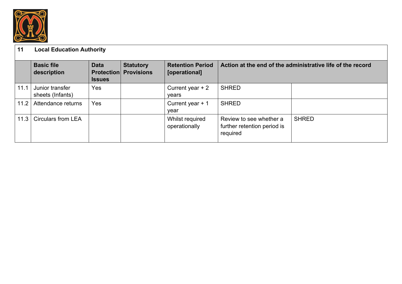

# **11 Local Education Authority**

|      | <b>Basic file</b><br>description    | <b>Data</b><br><b>Issues</b> | <b>Statutory</b><br><b>Protection Provisions</b> | <b>Retention Period</b><br>[operational] | Action at the end of the administrative life of the record         |              |
|------|-------------------------------------|------------------------------|--------------------------------------------------|------------------------------------------|--------------------------------------------------------------------|--------------|
| 11.1 | Junior transfer<br>sheets (Infants) | Yes                          |                                                  | Current year $+2$<br>vears               | <b>SHRED</b>                                                       |              |
| 11.2 | Attendance returns                  | Yes                          |                                                  | Current year $+1$<br>year                | <b>SHRED</b>                                                       |              |
| 11.3 | <b>Circulars from LEA</b>           |                              |                                                  | Whilst required<br>operationally         | Review to see whether a<br>further retention period is<br>required | <b>SHRED</b> |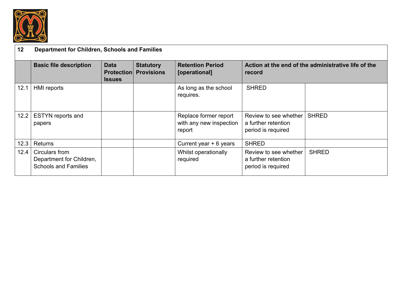

## **12 Department for Children, Schools and Families**

|      | <b>Basic file description</b>                                             | <b>Data</b><br><b>Protection</b><br><b>Issues</b> | <b>Statutory</b><br><b>Provisions</b> | <b>Retention Period</b><br>[operational]                   | record                                                             | Action at the end of the administrative life of the |
|------|---------------------------------------------------------------------------|---------------------------------------------------|---------------------------------------|------------------------------------------------------------|--------------------------------------------------------------------|-----------------------------------------------------|
| 12.1 | HMI reports                                                               |                                                   |                                       | As long as the school<br>requires.                         | <b>SHRED</b>                                                       |                                                     |
| 12.2 | <b>ESTYN</b> reports and<br>papers                                        |                                                   |                                       | Replace former report<br>with any new inspection<br>report | Review to see whether<br>a further retention<br>period is required | <b>SHRED</b>                                        |
| 12.3 | Returns                                                                   |                                                   |                                       | Current year $+ 6$ years                                   | <b>SHRED</b>                                                       |                                                     |
| 12.4 | Circulars from<br>Department for Children,<br><b>Schools and Families</b> |                                                   |                                       | Whilst operationally<br>required                           | Review to see whether<br>a further retention<br>period is required | <b>SHRED</b>                                        |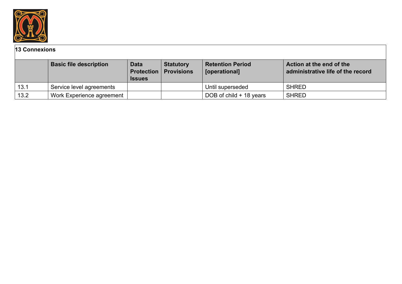

## **13 Connexions**

|      | <b>Basic file description</b> | <b>Data</b><br><b>Issues</b> | <b>Statutory</b><br><b>Protection   Provisions</b> | <b>Retention Period</b><br>[operational] | Action at the end of the<br>administrative life of the record |
|------|-------------------------------|------------------------------|----------------------------------------------------|------------------------------------------|---------------------------------------------------------------|
| 13.1 | Service level agreements      |                              |                                                    | Until superseded                         | <b>SHRED</b>                                                  |
| 13.2 | Work Experience agreement     |                              |                                                    | DOB of child + 18 years                  | <b>SHRED</b>                                                  |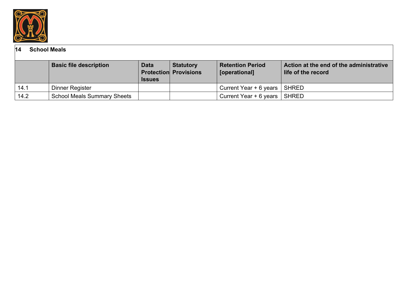

## **14 School Meals**

|      | <b>Basic file description</b>      | <b>Data</b><br><b>Issues</b> | <b>Statutory</b><br><b>Protection Provisions</b> | <b>Retention Period</b><br>[operational] | Action at the end of the administrative<br>life of the record |
|------|------------------------------------|------------------------------|--------------------------------------------------|------------------------------------------|---------------------------------------------------------------|
| 14.1 | Dinner Register                    |                              |                                                  | Current Year + 6 years   SHRED           |                                                               |
| 14.2 | <b>School Meals Summary Sheets</b> |                              |                                                  | Current Year $+ 6$ years $\vert$ SHRED   |                                                               |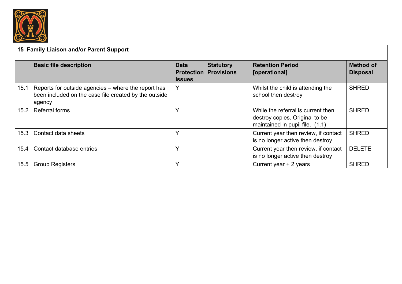

# **15 Family Liaison and/or Parent Support**

|      | <b>Basic file description</b>                                                                                          | <b>Data</b><br><b>Issues</b> | <b>Statutory</b><br><b>Protection Provisions</b> | <b>Retention Period</b><br>[operational]                                                                | <b>Method of</b><br><b>Disposal</b> |
|------|------------------------------------------------------------------------------------------------------------------------|------------------------------|--------------------------------------------------|---------------------------------------------------------------------------------------------------------|-------------------------------------|
| 15.1 | Reports for outside agencies – where the report has<br>been included on the case file created by the outside<br>agency | Y                            |                                                  | Whilst the child is attending the<br>school then destroy                                                | <b>SHRED</b>                        |
| 15.2 | <b>Referral forms</b>                                                                                                  | Υ                            |                                                  | While the referral is current then<br>destroy copies. Original to be<br>maintained in pupil file. (1.1) | <b>SHRED</b>                        |
| 15.3 | Contact data sheets                                                                                                    | v                            |                                                  | Current year then review, if contact<br>is no longer active then destroy                                | <b>SHRED</b>                        |
| 15.4 | Contact database entries                                                                                               | Υ                            |                                                  | Current year then review, if contact<br>is no longer active then destroy                                | <b>DELETE</b>                       |
| 15.5 | <b>Group Registers</b>                                                                                                 | $\checkmark$                 |                                                  | Current year + 2 years                                                                                  | <b>SHRED</b>                        |